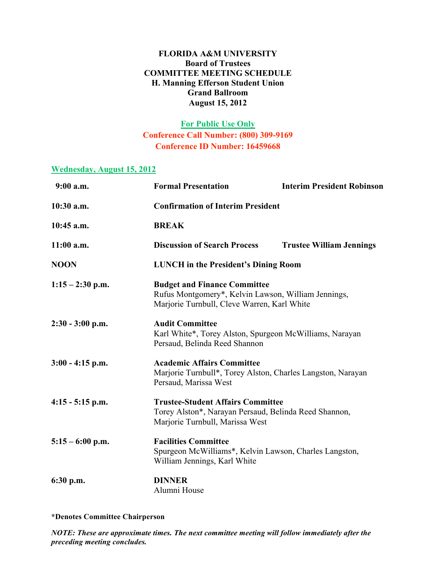#### **FLORIDA A&M UNIVERSITY Board of Trustees COMMITTEE MEETING SCHEDULE H. Manning Efferson Student Union Grand Ballroom August 15, 2012**

### **For Public Use Only Conference Call Number: (800) 309-9169 Conference ID Number: 16459668**

#### **Wednesday, August 15, 2012**

| $9:00$ a.m.        | <b>Formal Presentation</b>                                                                                                                | <b>Interim President Robinson</b> |
|--------------------|-------------------------------------------------------------------------------------------------------------------------------------------|-----------------------------------|
| $10:30$ a.m.       | <b>Confirmation of Interim President</b>                                                                                                  |                                   |
| 10:45 a.m.         | <b>BREAK</b>                                                                                                                              |                                   |
| $11:00$ a.m.       | <b>Discussion of Search Process</b>                                                                                                       | <b>Trustee William Jennings</b>   |
| <b>NOON</b>        | <b>LUNCH</b> in the President's Dining Room                                                                                               |                                   |
| $1:15 - 2:30$ p.m. | <b>Budget and Finance Committee</b><br>Rufus Montgomery*, Kelvin Lawson, William Jennings,<br>Marjorie Turnbull, Cleve Warren, Karl White |                                   |
| $2:30 - 3:00$ p.m. | <b>Audit Committee</b><br>Karl White*, Torey Alston, Spurgeon McWilliams, Narayan<br>Persaud, Belinda Reed Shannon                        |                                   |
| $3:00 - 4:15$ p.m. | <b>Academic Affairs Committee</b><br>Marjorie Turnbull*, Torey Alston, Charles Langston, Narayan<br>Persaud, Marissa West                 |                                   |
| $4:15 - 5:15$ p.m. | <b>Trustee-Student Affairs Committee</b><br>Torey Alston*, Narayan Persaud, Belinda Reed Shannon,<br>Marjorie Turnbull, Marissa West      |                                   |
| $5:15 - 6:00$ p.m. | <b>Facilities Committee</b><br>Spurgeon McWilliams*, Kelvin Lawson, Charles Langston,<br>William Jennings, Karl White                     |                                   |
| $6:30$ p.m.        | <b>DINNER</b><br>Alumni House                                                                                                             |                                   |

**\*Denotes Committee Chairperson**

*NOTE: These are approximate times. The next committee meeting will follow immediately after the preceding meeting concludes.*